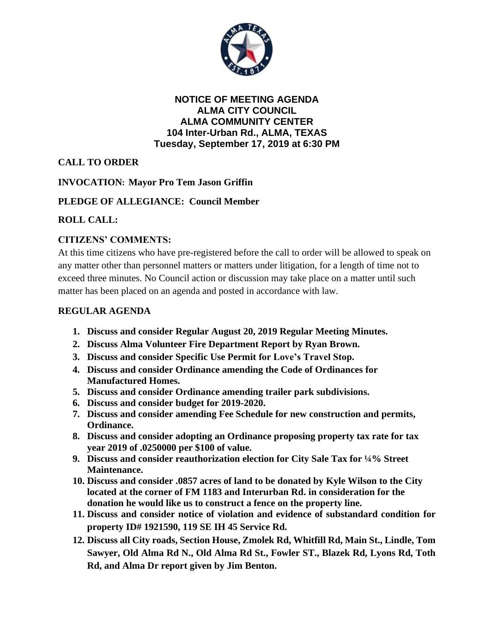

**NOTICE OF MEETING AGENDA ALMA CITY COUNCIL ALMA COMMUNITY CENTER 104 Inter-Urban Rd., ALMA, TEXAS Tuesday, September 17, 2019 at 6:30 PM**

**CALL TO ORDER**

**INVOCATION: Mayor Pro Tem Jason Griffin**

# **PLEDGE OF ALLEGIANCE: Council Member**

# **ROLL CALL:**

# **CITIZENS' COMMENTS:**

At this time citizens who have pre-registered before the call to order will be allowed to speak on any matter other than personnel matters or matters under litigation, for a length of time not to exceed three minutes. No Council action or discussion may take place on a matter until such matter has been placed on an agenda and posted in accordance with law.

## **REGULAR AGENDA**

- **1. Discuss and consider Regular August 20, 2019 Regular Meeting Minutes.**
- **2. Discuss Alma Volunteer Fire Department Report by Ryan Brown.**
- **3. Discuss and consider Specific Use Permit for Love's Travel Stop.**
- **4. Discuss and consider Ordinance amending the Code of Ordinances for Manufactured Homes.**
- **5. Discuss and consider Ordinance amending trailer park subdivisions.**
- **6. Discuss and consider budget for 2019-2020.**
- **7. Discuss and consider amending Fee Schedule for new construction and permits, Ordinance.**
- **8. Discuss and consider adopting an Ordinance proposing property tax rate for tax year 2019 of .0250000 per \$100 of value.**
- **9. Discuss and consider reauthorization election for City Sale Tax for ¼% Street Maintenance.**
- **10. Discuss and consider .0857 acres of land to be donated by Kyle Wilson to the City located at the corner of FM 1183 and Interurban Rd. in consideration for the donation he would like us to construct a fence on the property line.**
- **11. Discuss and consider notice of violation and evidence of substandard condition for property ID# 1921590, 119 SE IH 45 Service Rd.**
- **12. Discuss all City roads, Section House, Zmolek Rd, Whitfill Rd, Main St., Lindle, Tom Sawyer, Old Alma Rd N., Old Alma Rd St., Fowler ST., Blazek Rd, Lyons Rd, Toth Rd, and Alma Dr report given by Jim Benton.**